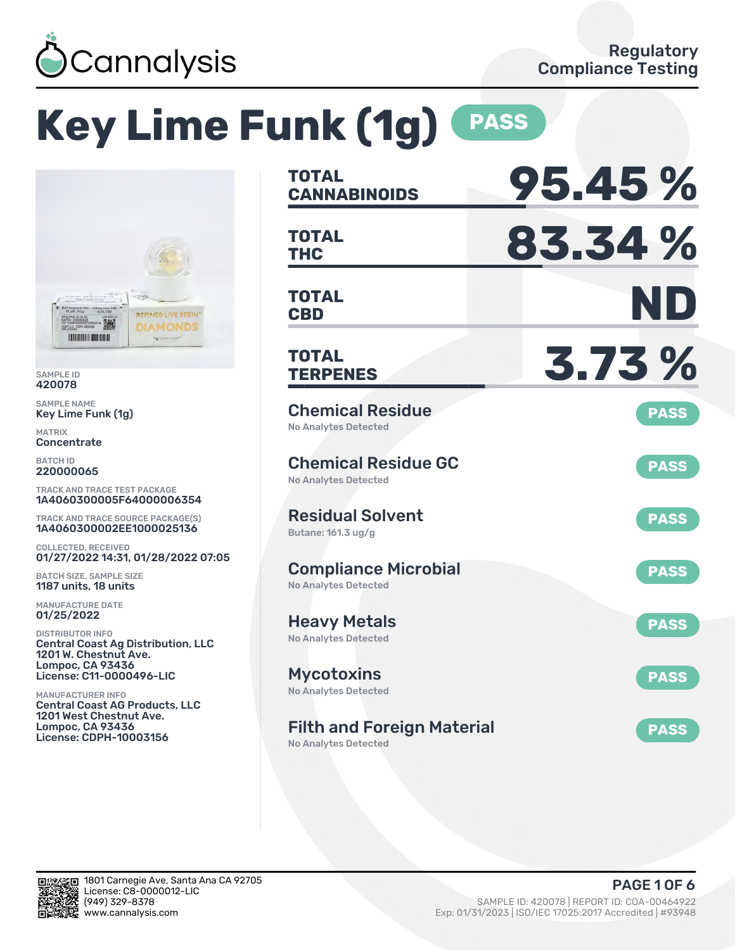

# **Key Lime Funk (1g) PASS**



SAMPLE ID 420078

SAMPLE NAME Key Lime Funk (1g)

MATRIX **Concentrate** 

BATCH ID 220000065

TRACK AND TRACE TEST PACKAGE 1A4060300005F64000006354

TRACK AND TRACE SOURCE PACKAGE(S) 1A4060300002EE1000025136

COLLECTED, RECEIVED 01/27/2022 14:31, 01/28/2022 07:05

BATCH SIZE, SAMPLE SIZE 1187 units, 18 units

MANUFACTURE DATE 01/25/2022

DISTRIBUTOR INFO Central Coast Ag Distribution, LLC 1201 W. Chestnut Ave. Lompoc, CA 93436 License: C11-0000496-LIC

MANUFACTURER INFO Central Coast AG Products, LLC 1201 West Chestnut Ave. Lompoc, CA 93436 License: CDPH-10003156

| <b>TOTAL</b><br><b>CANNABINOIDS</b>                              | 95.45%      |
|------------------------------------------------------------------|-------------|
| <b>TOTAL</b><br><b>THC</b>                                       | 83.34%      |
| <b>TOTAL</b><br><b>CBD</b>                                       | ND          |
| <b>TOTAL</b><br><b>TERPENES</b>                                  | 3.73%       |
| <b>Chemical Residue</b><br><b>No Analytes Detected</b>           | <b>PASS</b> |
| <b>Chemical Residue GC</b><br><b>No Analytes Detected</b>        | <b>PASS</b> |
| <b>Residual Solvent</b><br>Butane: 161.3 ug/g                    | <b>PASS</b> |
| <b>Compliance Microbial</b><br><b>No Analytes Detected</b>       | <b>PASS</b> |
| <b>Heavy Metals</b><br><b>No Analytes Detected</b>               | <b>PASS</b> |
| <b>Mycotoxins</b><br>No Analytes Detected                        | <b>PASS</b> |
| <b>Filth and Foreign Material</b><br><b>No Analytes Detected</b> | <b>PASS</b> |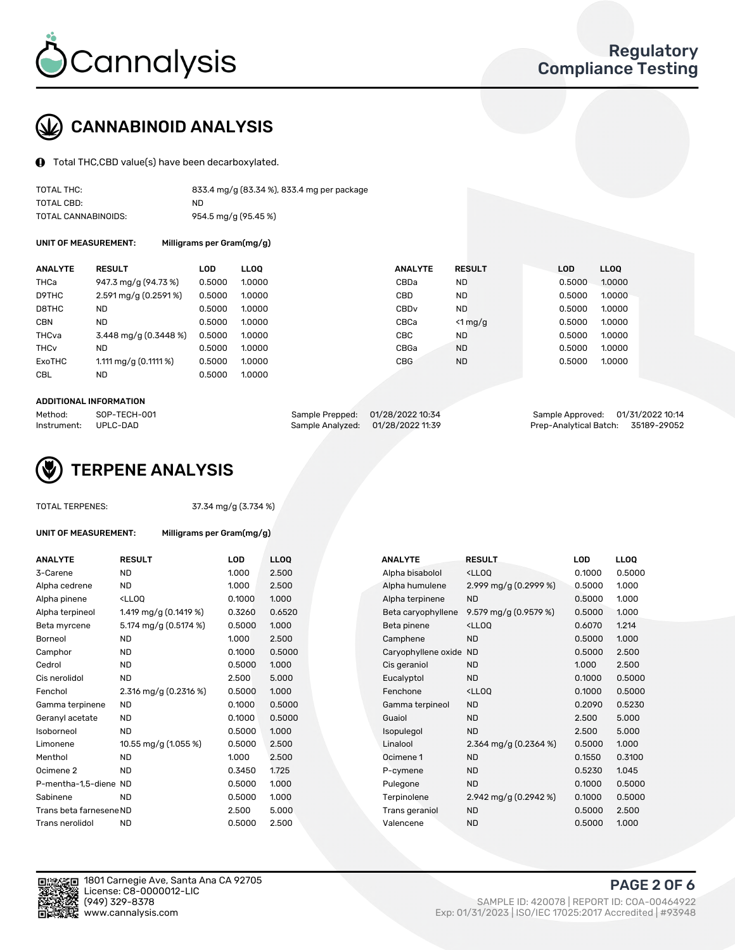

# CANNABINOID ANALYSIS

Total THC,CBD value(s) have been decarboxylated.

| TOTAL THC:          | 833.4 mg/g (83.34 %), 833.4 mg per package |
|---------------------|--------------------------------------------|
| TOTAL CBD:          | ND                                         |
| TOTAL CANNABINOIDS: | 954.5 mg/g (95.45 %)                       |

UNIT OF MEASUREMENT: Milligrams per Gram(mg/g)

| <b>ANALYTE</b>         | <b>RESULT</b>                       | <b>LOD</b> | <b>LLOO</b> | <b>ANALYTE</b>   | <b>RESULT</b> | <b>LOD</b> | <b>LLOO</b> |
|------------------------|-------------------------------------|------------|-------------|------------------|---------------|------------|-------------|
| THCa                   | 947.3 mg/g (94.73 %)                | 0.5000     | 1.0000      | CBDa             | <b>ND</b>     | 0.5000     | 1.0000      |
| D9THC                  | $2.591 \,\mathrm{mag/g}$ (0.2591 %) | 0.5000     | 1.0000      | CBD              | <b>ND</b>     | 0.5000     | 1.0000      |
| D8THC                  | <b>ND</b>                           | 0.5000     | 1.0000      | CBD <sub>v</sub> | <b>ND</b>     | 0.5000     | 1.0000      |
| <b>CBN</b>             | <b>ND</b>                           | 0.5000     | 1.0000      | CBCa             | $< 1$ mg/g    | 0.5000     | 1.0000      |
| THCva                  | $3.448$ mg/g (0.3448 %)             | 0.5000     | 1.0000      | CBC              | <b>ND</b>     | 0.5000     | 1.0000      |
| <b>THC<sub>v</sub></b> | <b>ND</b>                           | 0.5000     | 1.0000      | CBGa             | <b>ND</b>     | 0.5000     | 1.0000      |
| ExoTHC                 | 1.111 mg/g $(0.1111 \%)$            | 0.5000     | 1.0000      | <b>CBG</b>       | <b>ND</b>     | 0.5000     | 1.0000      |
| <b>CBL</b>             | ND                                  | 0.5000     | 1.0000      |                  |               |            |             |

#### ADDITIONAL INFORMATION

| Method:              | SOP-TECH-001 | Sample Prepped: 01/28/2022 10:34  | Sample Approved: 01/31/2022 10:14  |  |
|----------------------|--------------|-----------------------------------|------------------------------------|--|
| Instrument: UPLC-DAD |              | Sample Analyzed: 01/28/2022 11:39 | Prep-Analytical Batch: 35189-29052 |  |



TOTAL TERPENES: 37.34 mg/g (3.734 %)

| UNIT OF MEASUREMENT: | Milligrams per Gram(mg/g) |  |
|----------------------|---------------------------|--|
|                      |                           |  |

| <b>RESULT</b>                                                                                                             | <b>LOD</b> | <b>LLOQ</b> | <b>ANALYTE</b>     | <b>RESULT</b>                                      | LOD                    | <b>LLOQ</b> |
|---------------------------------------------------------------------------------------------------------------------------|------------|-------------|--------------------|----------------------------------------------------|------------------------|-------------|
| <b>ND</b>                                                                                                                 | 1.000      | 2.500       | Alpha bisabolol    | <ll0q< td=""><td>0.1000</td><td>0.500</td></ll0q<> | 0.1000                 | 0.500       |
| <b>ND</b>                                                                                                                 | 1.000      | 2.500       | Alpha humulene     | 2.999 mg/g (0.2999 %)                              | 0.5000                 | 1.000       |
| <lloq< td=""><td>0.1000</td><td>1.000</td><td>Alpha terpinene</td><td><b>ND</b></td><td>0.5000</td><td>1.000</td></lloq<> | 0.1000     | 1.000       | Alpha terpinene    | <b>ND</b>                                          | 0.5000                 | 1.000       |
| 1.419 mg/g $(0.1419%)$                                                                                                    | 0.3260     | 0.6520      | Beta caryophyllene | 9.579 mg/g (0.9579 %)                              | 0.5000                 | 1.000       |
| 5.174 mg/g (0.5174 %)                                                                                                     | 0.5000     | 1.000       | Beta pinene        | <ll0q< td=""><td>0.6070</td><td>1.214</td></ll0q<> | 0.6070                 | 1.214       |
| <b>ND</b>                                                                                                                 | 1.000      | 2.500       | Camphene           | <b>ND</b>                                          | 0.5000                 | 1.000       |
| <b>ND</b>                                                                                                                 | 0.1000     | 0.5000      |                    |                                                    | 0.5000                 | 2.500       |
| ND                                                                                                                        | 0.5000     | 1.000       | Cis geraniol       | <b>ND</b>                                          | 1.000                  | 2.500       |
| <b>ND</b>                                                                                                                 | 2.500      | 5.000       | Eucalyptol         | <b>ND</b>                                          | 0.1000                 | 0.500       |
| 2.316 mg/g (0.2316 %)                                                                                                     | 0.5000     | 1.000       | Fenchone           | <ll0q< td=""><td>0.1000</td><td>0.500</td></ll0q<> | 0.1000                 | 0.500       |
| ND.                                                                                                                       | 0.1000     | 0.5000      | Gamma terpineol    | <b>ND</b>                                          | 0.2090                 | 0.523       |
| <b>ND</b>                                                                                                                 | 0.1000     | 0.5000      | Guaiol             | <b>ND</b>                                          | 2.500                  | 5.000       |
| <b>ND</b>                                                                                                                 | 0.5000     | 1.000       | Isopulegol         | <b>ND</b>                                          | 2.500                  | 5.000       |
| 10.55 mg/g (1.055 %)                                                                                                      | 0.5000     | 2.500       | Linalool           | 2.364 mg/g $(0.2364\%)$                            | 0.5000                 | 1.000       |
| <b>ND</b>                                                                                                                 | 1.000      | 2.500       | Ocimene 1          | <b>ND</b>                                          | 0.1550                 | 0.310       |
| <b>ND</b>                                                                                                                 | 0.3450     | 1.725       | P-cymene           | <b>ND</b>                                          | 0.5230                 | 1.045       |
| P-mentha-1.5-diene ND                                                                                                     | 0.5000     | 1.000       | Pulegone           | <b>ND</b>                                          | 0.1000                 | 0.500       |
| <b>ND</b>                                                                                                                 | 0.5000     | 1.000       | Terpinolene        | 2.942 mg/g $(0.2942\%)$                            | 0.1000                 | 0.500       |
| Trans beta farnesene ND                                                                                                   | 2.500      | 5.000       | Trans geraniol     | <b>ND</b>                                          | 0.5000                 | 2.500       |
| <b>ND</b>                                                                                                                 | 0.5000     | 2.500       | Valencene          | <b>ND</b>                                          | 0.5000                 | 1.000       |
|                                                                                                                           |            |             |                    |                                                    | Caryophyllene oxide ND |             |

| ANALYTE                 | <b>RESULT</b>                                                                                                             | LOD.   | <b>LLOQ</b> | ANALYTE                | <b>RESULT</b>                                       | <b>LOD</b> | <b>LLOQ</b> |
|-------------------------|---------------------------------------------------------------------------------------------------------------------------|--------|-------------|------------------------|-----------------------------------------------------|------------|-------------|
| 3-Carene                | <b>ND</b>                                                                                                                 | 1.000  | 2.500       | Alpha bisabolol        | <lloq< td=""><td>0.1000</td><td>0.5000</td></lloq<> | 0.1000     | 0.5000      |
| Alpha cedrene           | <b>ND</b>                                                                                                                 | 1.000  | 2.500       | Alpha humulene         | 2.999 mg/g (0.2999 %)                               | 0.5000     | 1.000       |
| Alpha pinene            | <lloq< td=""><td>0.1000</td><td>1.000</td><td>Alpha terpinene</td><td><b>ND</b></td><td>0.5000</td><td>1.000</td></lloq<> | 0.1000 | 1.000       | Alpha terpinene        | <b>ND</b>                                           | 0.5000     | 1.000       |
| Alpha terpineol         | 1.419 mg/g $(0.1419 \%)$                                                                                                  | 0.3260 | 0.6520      | Beta caryophyllene     | 9.579 mg/g $(0.9579\%)$                             | 0.5000     | 1.000       |
| Beta myrcene            | 5.174 mg/g (0.5174 %)                                                                                                     | 0.5000 | 1.000       | Beta pinene            | <lloq< td=""><td>0.6070</td><td>1.214</td></lloq<>  | 0.6070     | 1.214       |
| Borneol                 | <b>ND</b>                                                                                                                 | 1.000  | 2.500       | Camphene               | <b>ND</b>                                           | 0.5000     | 1.000       |
| Camphor                 | <b>ND</b>                                                                                                                 | 0.1000 | 0.5000      | Caryophyllene oxide ND |                                                     | 0.5000     | 2.500       |
| Cedrol                  | <b>ND</b>                                                                                                                 | 0.5000 | 1.000       | Cis geraniol           | <b>ND</b>                                           | 1.000      | 2.500       |
| Cis nerolidol           | <b>ND</b>                                                                                                                 | 2.500  | 5.000       | Eucalyptol             | <b>ND</b>                                           | 0.1000     | 0.5000      |
| Fenchol                 | 2.316 mg/g (0.2316 %)                                                                                                     | 0.5000 | 1.000       | Fenchone               | <lloq< td=""><td>0.1000</td><td>0.5000</td></lloq<> | 0.1000     | 0.5000      |
| Gamma terpinene         | <b>ND</b>                                                                                                                 | 0.1000 | 0.5000      | Gamma terpineol        | <b>ND</b>                                           | 0.2090     | 0.5230      |
| Geranyl acetate         | <b>ND</b>                                                                                                                 | 0.1000 | 0.5000      | Guaiol                 | <b>ND</b>                                           | 2.500      | 5.000       |
| Isoborneol              | <b>ND</b>                                                                                                                 | 0.5000 | 1.000       | Isopulegol             | <b>ND</b>                                           | 2.500      | 5.000       |
| Limonene                | 10.55 mg/g (1.055 %)                                                                                                      | 0.5000 | 2.500       | Linalool               | 2.364 mg/g $(0.2364\%)$                             | 0.5000     | 1.000       |
| Menthol                 | <b>ND</b>                                                                                                                 | 1.000  | 2.500       | Ocimene 1              | <b>ND</b>                                           | 0.1550     | 0.3100      |
| Ocimene 2               | <b>ND</b>                                                                                                                 | 0.3450 | 1.725       | P-cymene               | <b>ND</b>                                           | 0.5230     | 1.045       |
| P-mentha-1,5-diene ND   |                                                                                                                           | 0.5000 | 1.000       | Pulegone               | <b>ND</b>                                           | 0.1000     | 0.5000      |
| Sabinene                | <b>ND</b>                                                                                                                 | 0.5000 | 1.000       | Terpinolene            | 2.942 mg/g (0.2942 %)                               | 0.1000     | 0.5000      |
| Trans beta farnesene ND |                                                                                                                           | 2.500  | 5.000       | Trans geraniol         | <b>ND</b>                                           | 0.5000     | 2.500       |
| Trans nerolidol         | <b>ND</b>                                                                                                                 | 0.5000 | 2.500       | Valencene              | <b>ND</b>                                           | 0.5000     | 1.000       |



1801 Carnegie Ave, Santa Ana CA 92705 License: C8-0000012-LIC<br>(949) 329-8378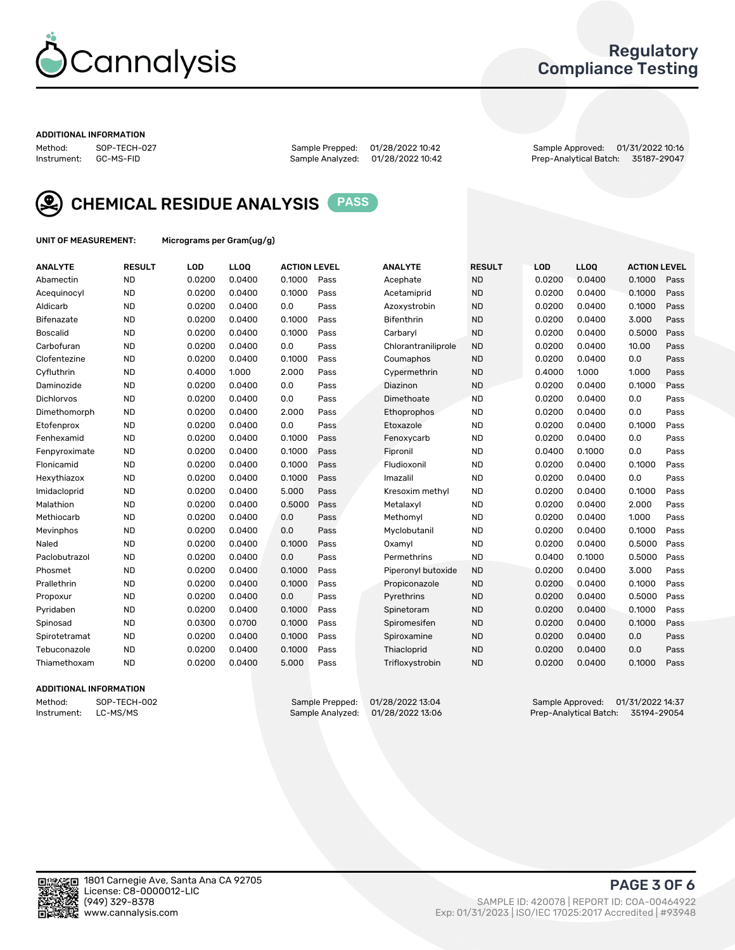

# Regulatory Compliance Testing

#### ADDITIONAL INFORMATION

Sample Analyzed: 01/28/2022 10:42

Method: SOP-TECH-027 Sample Prepped: 01/28/2022 10:42 Sample Approved: 01/31/2022 10:16



CHEMICAL RESIDUE ANALYSIS PASS

UNIT OF MEASUREMENT: Micrograms per Gram(ug/g)

| <b>ANALYTE</b>    | <b>RESULT</b> | LOD    | <b>LLOQ</b> | <b>ACTION LEVEL</b> |      | <b>ANALYTE</b>      | <b>RESULT</b> | <b>LOD</b> | <b>LLOQ</b> | <b>ACTION LEVEL</b> |      |
|-------------------|---------------|--------|-------------|---------------------|------|---------------------|---------------|------------|-------------|---------------------|------|
| Abamectin         | <b>ND</b>     | 0.0200 | 0.0400      | 0.1000              | Pass | Acephate            | <b>ND</b>     | 0.0200     | 0.0400      | 0.1000              | Pass |
| Acequinocyl       | <b>ND</b>     | 0.0200 | 0.0400      | 0.1000              | Pass | Acetamiprid         | <b>ND</b>     | 0.0200     | 0.0400      | 0.1000              | Pass |
| Aldicarb          | <b>ND</b>     | 0.0200 | 0.0400      | 0.0                 | Pass | Azoxystrobin        | <b>ND</b>     | 0.0200     | 0.0400      | 0.1000              | Pass |
| Bifenazate        | <b>ND</b>     | 0.0200 | 0.0400      | 0.1000              | Pass | <b>Bifenthrin</b>   | <b>ND</b>     | 0.0200     | 0.0400      | 3.000               | Pass |
| <b>Boscalid</b>   | <b>ND</b>     | 0.0200 | 0.0400      | 0.1000              | Pass | Carbarvl            | <b>ND</b>     | 0.0200     | 0.0400      | 0.5000              | Pass |
| Carbofuran        | <b>ND</b>     | 0.0200 | 0.0400      | 0.0                 | Pass | Chlorantraniliprole | <b>ND</b>     | 0.0200     | 0.0400      | 10.00               | Pass |
| Clofentezine      | <b>ND</b>     | 0.0200 | 0.0400      | 0.1000              | Pass | Coumaphos           | <b>ND</b>     | 0.0200     | 0.0400      | 0.0                 | Pass |
| Cyfluthrin        | <b>ND</b>     | 0.4000 | 1.000       | 2.000               | Pass | Cypermethrin        | <b>ND</b>     | 0.4000     | 1.000       | 1.000               | Pass |
| Daminozide        | <b>ND</b>     | 0.0200 | 0.0400      | 0.0                 | Pass | Diazinon            | <b>ND</b>     | 0.0200     | 0.0400      | 0.1000              | Pass |
| <b>Dichlorvos</b> | <b>ND</b>     | 0.0200 | 0.0400      | 0.0                 | Pass | Dimethoate          | <b>ND</b>     | 0.0200     | 0.0400      | 0.0                 | Pass |
| Dimethomorph      | <b>ND</b>     | 0.0200 | 0.0400      | 2.000               | Pass | <b>Ethoprophos</b>  | <b>ND</b>     | 0.0200     | 0.0400      | 0.0                 | Pass |
| Etofenprox        | <b>ND</b>     | 0.0200 | 0.0400      | 0.0                 | Pass | Etoxazole           | <b>ND</b>     | 0.0200     | 0.0400      | 0.1000              | Pass |
| Fenhexamid        | <b>ND</b>     | 0.0200 | 0.0400      | 0.1000              | Pass | Fenoxycarb          | <b>ND</b>     | 0.0200     | 0.0400      | 0.0                 | Pass |
| Fenpyroximate     | <b>ND</b>     | 0.0200 | 0.0400      | 0.1000              | Pass | Fipronil            | <b>ND</b>     | 0.0400     | 0.1000      | 0.0                 | Pass |
| Flonicamid        | <b>ND</b>     | 0.0200 | 0.0400      | 0.1000              | Pass | Fludioxonil         | <b>ND</b>     | 0.0200     | 0.0400      | 0.1000              | Pass |
| Hexythiazox       | <b>ND</b>     | 0.0200 | 0.0400      | 0.1000              | Pass | Imazalil            | <b>ND</b>     | 0.0200     | 0.0400      | 0.0                 | Pass |
| Imidacloprid      | <b>ND</b>     | 0.0200 | 0.0400      | 5.000               | Pass | Kresoxim methyl     | <b>ND</b>     | 0.0200     | 0.0400      | 0.1000              | Pass |
| Malathion         | <b>ND</b>     | 0.0200 | 0.0400      | 0.5000              | Pass | Metalaxyl           | <b>ND</b>     | 0.0200     | 0.0400      | 2.000               | Pass |
| Methiocarb        | <b>ND</b>     | 0.0200 | 0.0400      | 0.0                 | Pass | Methomyl            | <b>ND</b>     | 0.0200     | 0.0400      | 1.000               | Pass |
| Mevinphos         | <b>ND</b>     | 0.0200 | 0.0400      | 0.0                 | Pass | Myclobutanil        | <b>ND</b>     | 0.0200     | 0.0400      | 0.1000              | Pass |
| Naled             | <b>ND</b>     | 0.0200 | 0.0400      | 0.1000              | Pass | Oxamyl              | <b>ND</b>     | 0.0200     | 0.0400      | 0.5000              | Pass |
| Paclobutrazol     | <b>ND</b>     | 0.0200 | 0.0400      | 0.0                 | Pass | Permethrins         | <b>ND</b>     | 0.0400     | 0.1000      | 0.5000              | Pass |
| Phosmet           | <b>ND</b>     | 0.0200 | 0.0400      | 0.1000              | Pass | Piperonyl butoxide  | <b>ND</b>     | 0.0200     | 0.0400      | 3.000               | Pass |
| Prallethrin       | <b>ND</b>     | 0.0200 | 0.0400      | 0.1000              | Pass | Propiconazole       | <b>ND</b>     | 0.0200     | 0.0400      | 0.1000              | Pass |
| Propoxur          | <b>ND</b>     | 0.0200 | 0.0400      | 0.0                 | Pass | Pyrethrins          | <b>ND</b>     | 0.0200     | 0.0400      | 0.5000              | Pass |
| Pyridaben         | <b>ND</b>     | 0.0200 | 0.0400      | 0.1000              | Pass | Spinetoram          | <b>ND</b>     | 0.0200     | 0.0400      | 0.1000              | Pass |
| Spinosad          | <b>ND</b>     | 0.0300 | 0.0700      | 0.1000              | Pass | Spiromesifen        | <b>ND</b>     | 0.0200     | 0.0400      | 0.1000              | Pass |
| Spirotetramat     | <b>ND</b>     | 0.0200 | 0.0400      | 0.1000              | Pass | Spiroxamine         | <b>ND</b>     | 0.0200     | 0.0400      | 0.0                 | Pass |
| Tebuconazole      | <b>ND</b>     | 0.0200 | 0.0400      | 0.1000              | Pass | Thiacloprid         | <b>ND</b>     | 0.0200     | 0.0400      | 0.0                 | Pass |
| Thiamethoxam      | <b>ND</b>     | 0.0200 | 0.0400      | 5.000               | Pass | Trifloxystrobin     | <b>ND</b>     | 0.0200     | 0.0400      | 0.1000              | Pass |

### ADDITIONAL INFORMATION

Method: SOP-TECH-002 Sample Prepped: 01/28/2022 13:04 Sample Approved: 01/31/2022 14:37<br>11.57194-29054 Instrument: LC-MS/MS Sample Analytical Batch: 35194-29054 Prep-Analytical Batch: 35194-29054

PAGE 3 OF 6

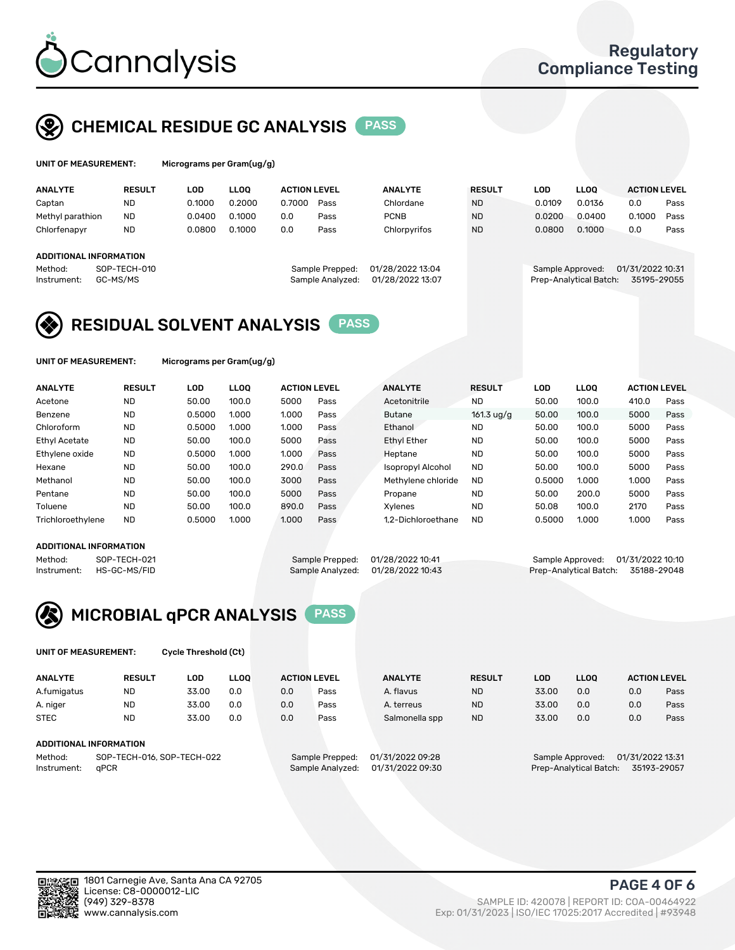

# CHEMICAL RESIDUE GC ANALYSIS PASS

| UNIT OF MEASUREMENT: | Micr |
|----------------------|------|
|----------------------|------|

ograms per Gram(ug/g<mark>)</mark>

| <b>ANALYTE</b>         | <b>RESULT</b> | LOD    | <b>LLOO</b> | <b>ACTION LEVEL</b> |                  | <b>ANALYTE</b>   | <b>RESULT</b> | <b>LOD</b>       | <b>LLOO</b>            | <b>ACTION LEVEL</b> |      |
|------------------------|---------------|--------|-------------|---------------------|------------------|------------------|---------------|------------------|------------------------|---------------------|------|
| Captan                 | <b>ND</b>     | 0.1000 | 0.2000      | 0.7000              | Pass             | Chlordane        | <b>ND</b>     | 0.0109           | 0.0136                 | 0.0                 | Pass |
| Methyl parathion       | <b>ND</b>     | 0.0400 | 0.1000      | 0.0                 | Pass             | <b>PCNB</b>      | <b>ND</b>     | 0.0200           | 0.0400                 | 0.1000              | Pass |
| Chlorfenapyr           | <b>ND</b>     | 0.0800 | 0.1000      | 0.0                 | Pass             | Chlorpyrifos     | <b>ND</b>     | 0.0800           | 0.1000                 | 0.0                 | Pass |
|                        |               |        |             |                     |                  |                  |               |                  |                        |                     |      |
| ADDITIONAL INFORMATION |               |        |             |                     |                  |                  |               |                  |                        |                     |      |
| Method:                | SOP-TECH-010  |        |             |                     | Sample Prepped:  | 01/28/2022 13:04 |               | Sample Approved: |                        | 01/31/2022 10:31    |      |
| Instrument:            | GC-MS/MS      |        |             |                     | Sample Analyzed: | 01/28/2022 13:07 |               |                  | Prep-Analytical Batch: | 35195-29055         |      |
|                        |               |        |             |                     |                  |                  |               |                  |                        |                     |      |

# RESIDUAL SOLVENT ANALYSIS PASS

UNIT OF MEASUREMENT: Micrograms per Gram(ug/g)

| <b>ANALYTE</b>       | <b>RESULT</b> | LOD    | <b>LLOO</b> | <b>ACTION LEVEL</b> |      | <b>ANALYTE</b>           | <b>RESULT</b>        | LOD    | LLOO  | <b>ACTION LEVEL</b> |      |
|----------------------|---------------|--------|-------------|---------------------|------|--------------------------|----------------------|--------|-------|---------------------|------|
| Acetone              | <b>ND</b>     | 50.00  | 100.0       | 5000                | Pass | Acetonitrile             | <b>ND</b>            | 50.00  | 100.0 | 410.0               | Pass |
| Benzene              | <b>ND</b>     | 0.5000 | 1.000       | 1.000               | Pass | <b>Butane</b>            | $161.3 \text{ uq/q}$ | 50.00  | 100.0 | 5000                | Pass |
| Chloroform           | <b>ND</b>     | 0.5000 | 1.000       | 1.000               | Pass | Ethanol                  | <b>ND</b>            | 50.00  | 100.0 | 5000                | Pass |
| <b>Ethyl Acetate</b> | <b>ND</b>     | 50.00  | 100.0       | 5000                | Pass | <b>Ethyl Ether</b>       | <b>ND</b>            | 50.00  | 100.0 | 5000                | Pass |
| Ethylene oxide       | <b>ND</b>     | 0.5000 | 1.000       | 1.000               | Pass | Heptane                  | <b>ND</b>            | 50.00  | 100.0 | 5000                | Pass |
| Hexane               | <b>ND</b>     | 50.00  | 100.0       | 290.0               | Pass | <b>Isopropyl Alcohol</b> | <b>ND</b>            | 50.00  | 100.0 | 5000                | Pass |
| Methanol             | <b>ND</b>     | 50.00  | 100.0       | 3000                | Pass | Methylene chloride       | <b>ND</b>            | 0.5000 | 1.000 | 1.000               | Pass |
| Pentane              | <b>ND</b>     | 50.00  | 100.0       | 5000                | Pass | Propane                  | <b>ND</b>            | 50.00  | 200.0 | 5000                | Pass |
| Toluene              | <b>ND</b>     | 50.00  | 100.0       | 890.0               | Pass | Xvlenes                  | <b>ND</b>            | 50.08  | 100.0 | 2170                | Pass |
| Trichloroethylene    | <b>ND</b>     | 0.5000 | 1.000       | 1.000               | Pass | 1.2-Dichloroethane       | <b>ND</b>            | 0.5000 | 1.000 | 1.000               | Pass |

#### ADDITIONAL INFORMATION

|             | ADDITIONAL INFORMATION |                                   |                                    |
|-------------|------------------------|-----------------------------------|------------------------------------|
| Method:     | SOP-TECH-021           | Sample Prepped: 01/28/2022 10:41  | Sample Approved: 01/31/2022 10:10  |
| Instrument: | HS-GC-MS/FID           | Sample Analyzed: 01/28/2022 10:43 | Prep-Analytical Batch: 35188-29048 |



UNIT OF MEASUREMENT: Cycle Threshold (Ct)

| <b>ANALYTE</b> | <b>RESULT</b>              | LOD   | <b>LLOO</b> | <b>ACTION LEVEL</b> |                  | <b>ANALYTE</b> | <b>RESULT</b> | LOD              | <b>LLOO</b>      |     | <b>ACTION LEVEL</b> |
|----------------|----------------------------|-------|-------------|---------------------|------------------|----------------|---------------|------------------|------------------|-----|---------------------|
| A.fumigatus    | <b>ND</b>                  | 33.00 | 0.0         | 0.0                 | Pass             | A. flavus      | <b>ND</b>     | 33.00            | 0.0              | 0.0 | Pass                |
| A. niger       | <b>ND</b>                  | 33.00 | 0.0         | 0.0                 | Pass             | A. terreus     | <b>ND</b>     | 33.00            | 0.0              | 0.0 | Pass                |
| <b>STEC</b>    | <b>ND</b>                  | 33.00 | 0.0         | 0.0                 | Pass             | Salmonella spp | <b>ND</b>     | 33.00            | 0.0              | 0.0 | Pass                |
|                | ADDITIONAL INFORMATION     |       |             |                     |                  |                |               |                  |                  |     |                     |
| Method:        | SOP-TECH-016, SOP-TECH-022 |       |             | Sample Prepped:     | 01/31/2022 09:28 |                |               | Sample Approved: | 01/31/2022 13:31 |     |                     |

Instrument: qPCR Sample Analyzed: 01/31/2022 09:30 Prep-Analytical Batch: 35193-29057

PAGE 4 OF 6

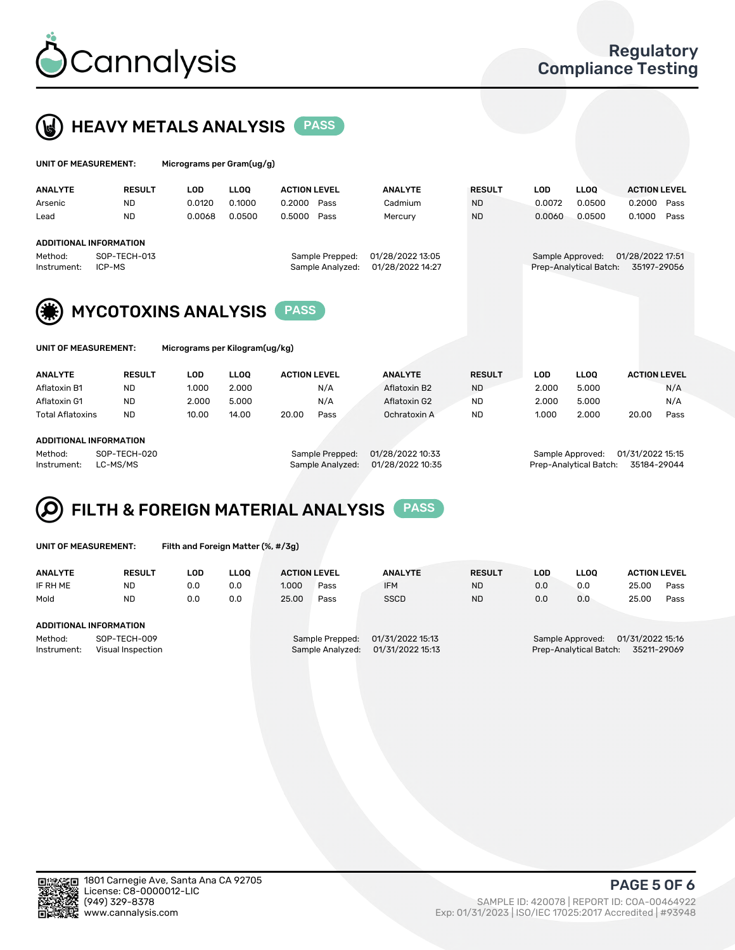



| UNIT OF MEASUREMENT: |                               | Micrograms per Gram(ug/g) |             |                     |                  |               |            |                        |                     |      |  |  |
|----------------------|-------------------------------|---------------------------|-------------|---------------------|------------------|---------------|------------|------------------------|---------------------|------|--|--|
| <b>ANALYTE</b>       | <b>RESULT</b>                 | <b>LOD</b>                | <b>LLOO</b> | <b>ACTION LEVEL</b> | <b>ANALYTE</b>   | <b>RESULT</b> | <b>LOD</b> | <b>LLOQ</b>            | <b>ACTION LEVEL</b> |      |  |  |
| Arsenic              | <b>ND</b>                     | 0.0120                    | 0.1000      | 0.2000<br>Pass      | Cadmium          | <b>ND</b>     | 0.0072     | 0.0500                 | 0.2000              | Pass |  |  |
| Lead                 | <b>ND</b>                     | 0.0068                    | 0.0500      | 0.5000<br>Pass      | Mercury          | <b>ND</b>     | 0.0060     | 0.0500                 | 0.1000              | Pass |  |  |
|                      | <b>ADDITIONAL INFORMATION</b> |                           |             |                     |                  |               |            |                        |                     |      |  |  |
| Method:              | SOP-TECH-013                  |                           |             | Sample Prepped:     | 01/28/2022 13:05 |               |            | Sample Approved:       | 01/28/2022 17:51    |      |  |  |
| Instrument:          | ICP-MS                        |                           |             | Sample Analyzed:    | 01/28/2022 14:27 |               |            | Prep-Analytical Batch: | 35197-29056         |      |  |  |
| (纂)                  | <b>MYCOTOXINS ANALYSIS</b>    |                           |             | <b>PASS</b>         |                  |               |            |                        |                     |      |  |  |

|  | UNIT OF MEASUREMENT: |  |
|--|----------------------|--|
|--|----------------------|--|

Micrograms per Kilogram(ug/kg)

| <b>ANALYTE</b>          | <b>RESULT</b> | LOD   | <b>LLOO</b> | <b>ACTION LEVEL</b> |      | <b>ANALYTE</b> | <b>RESULT</b> | LOD   | <b>LLOO</b> |       | <b>ACTION LEVEL</b> |
|-------------------------|---------------|-------|-------------|---------------------|------|----------------|---------------|-------|-------------|-------|---------------------|
| Aflatoxin B1            | <b>ND</b>     | 1.000 | 2.000       |                     | N/A  | Aflatoxin B2   | <b>ND</b>     | 2.000 | 5.000       |       | N/A                 |
| Aflatoxin G1            | <b>ND</b>     | 2.000 | 5.000       |                     | N/A  | Aflatoxin G2   | <b>ND</b>     | 2.000 | 5.000       |       | N/A                 |
| <b>Total Aflatoxins</b> | <b>ND</b>     | 10.00 | 14.00       | 20.00               | Pass | Ochratoxin A   | <b>ND</b>     | 1.000 | 2.000       | 20.00 | Pass                |
|                         |               |       |             |                     |      |                |               |       |             |       |                     |
|                         |               |       |             |                     |      |                |               |       |             |       |                     |

#### ADDITIONAL INFORMATION

Method: SOP-TECH-020 Sample Prepped: 01/28/2022 10:33 Sample Approved: 01/31/2022 15:15 Instrument: LC-MS/MS Sample Analyzed: 01/28/2022 10:35 Prep-Analytical Batch: 35184-29044

# FILTH & FOREIGN MATERIAL ANALYSIS PASS

UNIT OF MEASUREMENT: Filth and Foreign Matter (%, #/3g)

| <b>ANALYTE</b>                                              | <b>RESULT</b> | LOD | <b>LLOO</b> | <b>ACTION LEVEL</b> |                                     | <b>ANALYTE</b>                       | <b>RESULT</b>                                                              | LOD | LLOO | <b>ACTION LEVEL</b> |      |
|-------------------------------------------------------------|---------------|-----|-------------|---------------------|-------------------------------------|--------------------------------------|----------------------------------------------------------------------------|-----|------|---------------------|------|
| IF RH ME                                                    | <b>ND</b>     | 0.0 | 0.0         | 1.000               | Pass                                | <b>IFM</b>                           | <b>ND</b>                                                                  | 0.0 | 0.0  | 25.00               | Pass |
| Mold                                                        | <b>ND</b>     | 0.0 | 0.0         | 25.00               | Pass                                | <b>SSCD</b>                          | <b>ND</b>                                                                  | 0.0 | 0.0  | 25.00               | Pass |
| <b>ADDITIONAL INFORMATION</b>                               |               |     |             |                     |                                     |                                      |                                                                            |     |      |                     |      |
| Method:<br>SOP-TECH-009<br>Instrument:<br>Visual Inspection |               |     |             |                     | Sample Prepped:<br>Sample Analyzed: | 01/31/2022 15:13<br>01/31/2022 15:13 | 01/31/2022 15:16<br>Sample Approved:<br>Prep-Analytical Batch: 35211-29069 |     |      |                     |      |